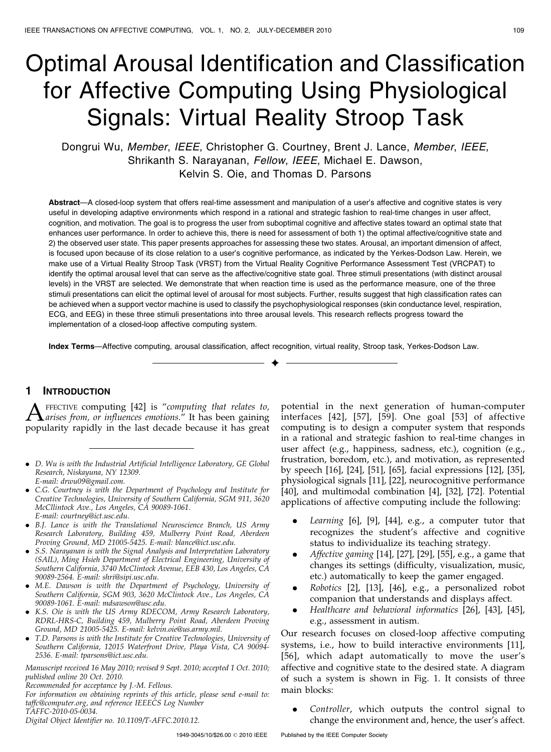# Optimal Arousal Identification and Classification for Affective Computing Using Physiological Signals: Virtual Reality Stroop Task

Dongrui Wu, Member, IEEE, Christopher G. Courtney, Brent J. Lance, Member, IEEE, Shrikanth S. Narayanan, Fellow, IEEE, Michael E. Dawson, Kelvin S. Oie, and Thomas D. Parsons

Abstract—A closed-loop system that offers real-time assessment and manipulation of a user's affective and cognitive states is very useful in developing adaptive environments which respond in a rational and strategic fashion to real-time changes in user affect, cognition, and motivation. The goal is to progress the user from suboptimal cognitive and affective states toward an optimal state that enhances user performance. In order to achieve this, there is need for assessment of both 1) the optimal affective/cognitive state and 2) the observed user state. This paper presents approaches for assessing these two states. Arousal, an important dimension of affect, is focused upon because of its close relation to a user's cognitive performance, as indicated by the Yerkes-Dodson Law. Herein, we make use of a Virtual Reality Stroop Task (VRST) from the Virtual Reality Cognitive Performance Assessment Test (VRCPAT) to identify the optimal arousal level that can serve as the affective/cognitive state goal. Three stimuli presentations (with distinct arousal levels) in the VRST are selected. We demonstrate that when reaction time is used as the performance measure, one of the three stimuli presentations can elicit the optimal level of arousal for most subjects. Further, results suggest that high classification rates can be achieved when a support vector machine is used to classify the psychophysiological responses (skin conductance level, respiration, ECG, and EEG) in these three stimuli presentations into three arousal levels. This research reflects progress toward the implementation of a closed-loop affective computing system.

Index Terms—Affective computing, arousal classification, affect recognition, virtual reality, Stroop task, Yerkes-Dodson Law.

 $\ddotmark$ 

## 1 INTRODUCTION

A FFECTIVE computing [42] is "computing that relates to,<br>arises from, or influences emotions." It has been gaining popularity rapidly in the last decade because it has great

- . C.G. Courtney is with the Department of Psychology and Institute for Creative Technologies, University of Southern California, SGM 911, 3620 McCllintock Ave., Los Angeles, CA 90089-1061. E-mail: courtney@ict.usc.edu.
- . B.J. Lance is with the Translational Neuroscience Branch, US Army Research Laboratory, Building 459, Mulberry Point Road, Aberdeen Proving Ground, MD 21005-5425. E-mail: blance@ict.usc.edu.
- . S.S. Narayanan is with the Signal Analysis and Interpretation Laboratory (SAIL), Ming Hsieh Department of Electrical Engineering, University of Southern California, 3740 McClintock Avenue, EEB 430, Los Angeles, CA 90089-2564. E-mail: shri@sipi.usc.edu.
- . M.E. Dawson is with the Department of Psychology, University of Southern California, SGM 903, 3620 McClintock Ave., Los Angeles, CA 90089-1061. E-mail: mdsawson@usc.edu.
- . K.S. Oie is with the US Army RDECOM, Army Research Laboratory, RDRL-HRS-C, Building 459, Mulberry Point Road, Aberdeen Proving Ground, MD 21005-5425. E-mail: kelvin.oie@us.army.mil.
- . T.D. Parsons is with the Institute for Creative Technologies, University of Southern California, 12015 Waterfront Drive, Playa Vista, CA 90094-2536. E-mail: tparsons@ict.usc.edu.

Manuscript received 16 May 2010; revised 9 Sept. 2010; accepted 1 Oct. 2010; published online 20 Oct. 2010.

For information on obtaining reprints of this article, please send e-mail to: taffc@computer.org, and reference IEEECS Log Number TAFFC-2010-05-0034.

Digital Object Identifier no. 10.1109/T-AFFC.2010.12.

potential in the next generation of human-computer interfaces [42], [57], [59]. One goal [53] of affective computing is to design a computer system that responds in a rational and strategic fashion to real-time changes in user affect (e.g., happiness, sadness, etc.), cognition (e.g., frustration, boredom, etc.), and motivation, as represented by speech [16], [24], [51], [65], facial expressions [12], [35], physiological signals [11], [22], neurocognitive performance [40], and multimodal combination [4], [32], [72]. Potential applications of affective computing include the following:

- Learning  $[6]$ ,  $[9]$ ,  $[44]$ , e.g., a computer tutor that recognizes the student's affective and cognitive status to individualize its teaching strategy.
- . Affective gaming [14], [27], [29], [55], e.g., a game that changes its settings (difficulty, visualization, music, etc.) automatically to keep the gamer engaged.
- . Robotics [2], [13], [46], e.g., a personalized robot companion that understands and displays affect.
- . Healthcare and behavioral informatics [26], [43], [45], e.g., assessment in autism.

Our research focuses on closed-loop affective computing systems, i.e., how to build interactive environments [11], [56], which adapt automatically to move the user's affective and cognitive state to the desired state. A diagram of such a system is shown in Fig. 1. It consists of three main blocks:

. Controller, which outputs the control signal to change the environment and, hence, the user's affect.

<sup>.</sup> D. Wu is with the Industrial Artificial Intelligence Laboratory, GE Global Research, Niskayuna, NY 12309. E-mail: drwu09@gmail.com.

Recommended for acceptance by J.-M. Fellous.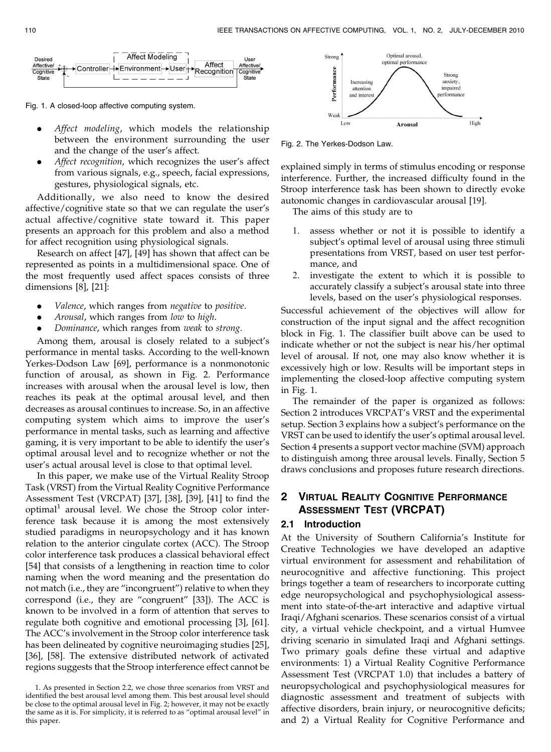

Fig. 1. A closed-loop affective computing system.

- Affect modeling, which models the relationship between the environment surrounding the user and the change of the user's affect.
- . Affect recognition, which recognizes the user's affect from various signals, e.g., speech, facial expressions, gestures, physiological signals, etc.

Additionally, we also need to know the desired affective/cognitive state so that we can regulate the user's actual affective/cognitive state toward it. This paper presents an approach for this problem and also a method for affect recognition using physiological signals.

Research on affect [47], [49] has shown that affect can be represented as points in a multidimensional space. One of the most frequently used affect spaces consists of three dimensions [8], [21]:

- . Valence, which ranges from negative to positive.
- . Arousal, which ranges from low to high.
- . Dominance, which ranges from weak to strong.

Among them, arousal is closely related to a subject's performance in mental tasks. According to the well-known Yerkes-Dodson Law [69], performance is a nonmonotonic function of arousal, as shown in Fig. 2. Performance increases with arousal when the arousal level is low, then reaches its peak at the optimal arousal level, and then decreases as arousal continues to increase. So, in an affective computing system which aims to improve the user's performance in mental tasks, such as learning and affective gaming, it is very important to be able to identify the user's optimal arousal level and to recognize whether or not the user's actual arousal level is close to that optimal level.

In this paper, we make use of the Virtual Reality Stroop Task (VRST) from the Virtual Reality Cognitive Performance Assessment Test (VRCPAT) [37], [38], [39], [41] to find the optimal<sup>1</sup> arousal level. We chose the Stroop color interference task because it is among the most extensively studied paradigms in neuropsychology and it has known relation to the anterior cingulate cortex (ACC). The Stroop color interference task produces a classical behavioral effect [54] that consists of a lengthening in reaction time to color naming when the word meaning and the presentation do not match (i.e., they are "incongruent") relative to when they correspond (i.e., they are "congruent" [33]). The ACC is known to be involved in a form of attention that serves to regulate both cognitive and emotional processing [3], [61]. The ACC's involvement in the Stroop color interference task has been delineated by cognitive neuroimaging studies [25], [36], [58]. The extensive distributed network of activated regions suggests that the Stroop interference effect cannot be



Fig. 2. The Yerkes-Dodson Law.

explained simply in terms of stimulus encoding or response interference. Further, the increased difficulty found in the Stroop interference task has been shown to directly evoke autonomic changes in cardiovascular arousal [19].

The aims of this study are to

- 1. assess whether or not it is possible to identify a subject's optimal level of arousal using three stimuli presentations from VRST, based on user test performance, and
- 2. investigate the extent to which it is possible to accurately classify a subject's arousal state into three levels, based on the user's physiological responses.

Successful achievement of the objectives will allow for construction of the input signal and the affect recognition block in Fig. 1. The classifier built above can be used to indicate whether or not the subject is near his/her optimal level of arousal. If not, one may also know whether it is excessively high or low. Results will be important steps in implementing the closed-loop affective computing system in Fig. 1.

The remainder of the paper is organized as follows: Section 2 introduces VRCPAT's VRST and the experimental setup. Section 3 explains how a subject's performance on the VRST can be used to identify the user's optimal arousal level. Section 4 presents a support vector machine (SVM) approach to distinguish among three arousal levels. Finally, Section 5 draws conclusions and proposes future research directions.

## 2 VIRTUAL REALITY COGNITIVE PERFORMANCE ASSESSMENT TEST (VRCPAT)

#### 2.1 Introduction

At the University of Southern California's Institute for Creative Technologies we have developed an adaptive virtual environment for assessment and rehabilitation of neurocognitive and affective functioning. This project brings together a team of researchers to incorporate cutting edge neuropsychological and psychophysiological assessment into state-of-the-art interactive and adaptive virtual Iraqi/Afghani scenarios. These scenarios consist of a virtual city, a virtual vehicle checkpoint, and a virtual Humvee driving scenario in simulated Iraqi and Afghani settings. Two primary goals define these virtual and adaptive environments: 1) a Virtual Reality Cognitive Performance Assessment Test (VRCPAT 1.0) that includes a battery of neuropsychological and psychophysiological measures for diagnostic assessment and treatment of subjects with affective disorders, brain injury, or neurocognitive deficits; and 2) a Virtual Reality for Cognitive Performance and

<sup>1.</sup> As presented in Section 2.2, we chose three scenarios from VRST and identified the best arousal level among them. This best arousal level should be close to the optimal arousal level in Fig. 2; however, it may not be exactly the same as it is. For simplicity, it is referred to as "optimal arousal level" in this paper.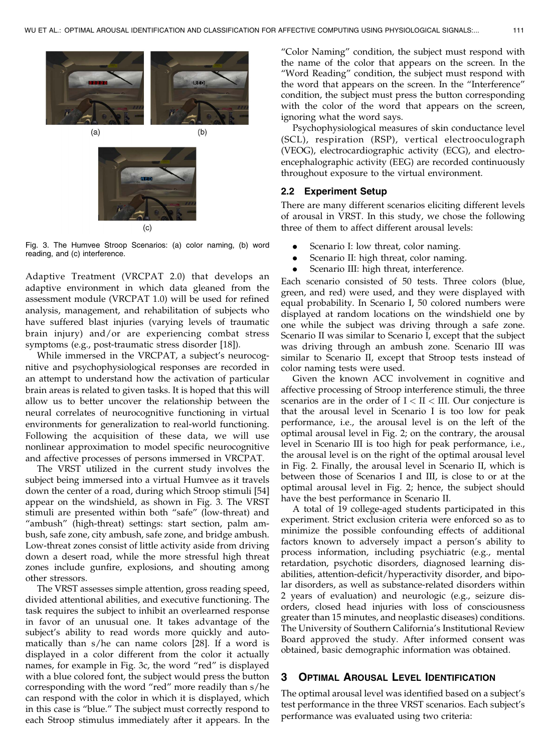

Fig. 3. The Humvee Stroop Scenarios: (a) color naming, (b) word reading, and (c) interference.

Adaptive Treatment (VRCPAT 2.0) that develops an adaptive environment in which data gleaned from the assessment module (VRCPAT 1.0) will be used for refined analysis, management, and rehabilitation of subjects who have suffered blast injuries (varying levels of traumatic brain injury) and/or are experiencing combat stress symptoms (e.g., post-traumatic stress disorder [18]).

While immersed in the VRCPAT, a subject's neurocognitive and psychophysiological responses are recorded in an attempt to understand how the activation of particular brain areas is related to given tasks. It is hoped that this will allow us to better uncover the relationship between the neural correlates of neurocognitive functioning in virtual environments for generalization to real-world functioning. Following the acquisition of these data, we will use nonlinear approximation to model specific neurocognitive and affective processes of persons immersed in VRCPAT.

The VRST utilized in the current study involves the subject being immersed into a virtual Humvee as it travels down the center of a road, during which Stroop stimuli [54] appear on the windshield, as shown in Fig. 3. The VRST stimuli are presented within both "safe" (low-threat) and "ambush" (high-threat) settings: start section, palm ambush, safe zone, city ambush, safe zone, and bridge ambush. Low-threat zones consist of little activity aside from driving down a desert road, while the more stressful high threat zones include gunfire, explosions, and shouting among other stressors.

The VRST assesses simple attention, gross reading speed, divided attentional abilities, and executive functioning. The task requires the subject to inhibit an overlearned response in favor of an unusual one. It takes advantage of the subject's ability to read words more quickly and automatically than s/he can name colors [28]. If a word is displayed in a color different from the color it actually names, for example in Fig. 3c, the word "red" is displayed with a blue colored font, the subject would press the button corresponding with the word "red" more readily than s/he can respond with the color in which it is displayed, which in this case is "blue." The subject must correctly respond to each Stroop stimulus immediately after it appears. In the

"Color Naming" condition, the subject must respond with the name of the color that appears on the screen. In the "Word Reading" condition, the subject must respond with the word that appears on the screen. In the "Interference" condition, the subject must press the button corresponding with the color of the word that appears on the screen, ignoring what the word says.

Psychophysiological measures of skin conductance level (SCL), respiration (RSP), vertical electrooculograph (VEOG), electrocardiographic activity (ECG), and electroencephalographic activity (EEG) are recorded continuously throughout exposure to the virtual environment.

#### 2.2 Experiment Setup

There are many different scenarios eliciting different levels of arousal in VRST. In this study, we chose the following three of them to affect different arousal levels:

- Scenario I: low threat, color naming.
- Scenario II: high threat, color naming.
- Scenario III: high threat, interference.

Each scenario consisted of 50 tests. Three colors (blue, green, and red) were used, and they were displayed with equal probability. In Scenario I, 50 colored numbers were displayed at random locations on the windshield one by one while the subject was driving through a safe zone. Scenario II was similar to Scenario I, except that the subject was driving through an ambush zone. Scenario III was similar to Scenario II, except that Stroop tests instead of color naming tests were used.

Given the known ACC involvement in cognitive and affective processing of Stroop interference stimuli, the three scenarios are in the order of  $I < II < III$ . Our conjecture is that the arousal level in Scenario I is too low for peak performance, i.e., the arousal level is on the left of the optimal arousal level in Fig. 2; on the contrary, the arousal level in Scenario III is too high for peak performance, i.e., the arousal level is on the right of the optimal arousal level in Fig. 2. Finally, the arousal level in Scenario II, which is between those of Scenarios I and III, is close to or at the optimal arousal level in Fig. 2; hence, the subject should have the best performance in Scenario II.

A total of 19 college-aged students participated in this experiment. Strict exclusion criteria were enforced so as to minimize the possible confounding effects of additional factors known to adversely impact a person's ability to process information, including psychiatric (e.g., mental retardation, psychotic disorders, diagnosed learning disabilities, attention-deficit/hyperactivity disorder, and bipolar disorders, as well as substance-related disorders within 2 years of evaluation) and neurologic (e.g., seizure disorders, closed head injuries with loss of consciousness greater than 15 minutes, and neoplastic diseases) conditions. The University of Southern California's Institutional Review Board approved the study. After informed consent was obtained, basic demographic information was obtained.

## 3 OPTIMAL AROUSAL LEVEL IDENTIFICATION

The optimal arousal level was identified based on a subject's test performance in the three VRST scenarios. Each subject's performance was evaluated using two criteria: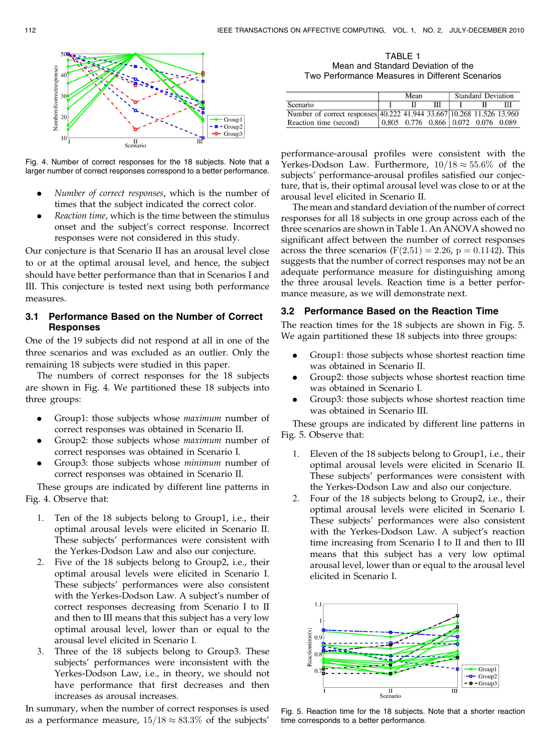

Fig. 4. Number of correct responses for the 18 subjects. Note that a larger number of correct responses correspond to a better performance.

- . Number of correct responses, which is the number of times that the subject indicated the correct color.
- . Reaction time, which is the time between the stimulus onset and the subject's correct response. Incorrect responses were not considered in this study.

Our conjecture is that Scenario II has an arousal level close to or at the optimal arousal level, and hence, the subject should have better performance than that in Scenarios I and III. This conjecture is tested next using both performance measures.

## 3.1 Performance Based on the Number of Correct **Responses**

One of the 19 subjects did not respond at all in one of the three scenarios and was excluded as an outlier. Only the remaining 18 subjects were studied in this paper.

The numbers of correct responses for the 18 subjects are shown in Fig. 4. We partitioned these 18 subjects into three groups:

- . Group1: those subjects whose maximum number of correct responses was obtained in Scenario II.
- . Group2: those subjects whose maximum number of correct responses was obtained in Scenario I.
- . Group3: those subjects whose minimum number of correct responses was obtained in Scenario II.

These groups are indicated by different line patterns in Fig. 4. Observe that:

- 1. Ten of the 18 subjects belong to Group1, i.e., their optimal arousal levels were elicited in Scenario II. These subjects' performances were consistent with the Yerkes-Dodson Law and also our conjecture.
- 2. Five of the 18 subjects belong to Group2, i.e., their optimal arousal levels were elicited in Scenario I. These subjects' performances were also consistent with the Yerkes-Dodson Law. A subject's number of correct responses decreasing from Scenario I to II and then to III means that this subject has a very low optimal arousal level, lower than or equal to the arousal level elicited in Scenario I.
- 3. Three of the 18 subjects belong to Group3. These subjects' performances were inconsistent with the Yerkes-Dodson Law, i.e., in theory, we should not have performance that first decreases and then increases as arousal increases.

In summary, when the number of correct responses is used as a performance measure,  $15/18 \approx 83.3\%$  of the subjects'

TABLE 1 Mean and Standard Deviation of the Two Performance Measures in Different Scenarios

|                                                                       | Mean |                                                                                                              | <b>Standard Deviation</b> |  |  |  |  |  |
|-----------------------------------------------------------------------|------|--------------------------------------------------------------------------------------------------------------|---------------------------|--|--|--|--|--|
| Scenario                                                              |      | Ш                                                                                                            |                           |  |  |  |  |  |
| Number of correct responses 40.222 41.944 33.667 10.268 11.526 13.960 |      |                                                                                                              |                           |  |  |  |  |  |
| Reaction time (second)                                                |      | $\begin{array}{ c c c c c c c c c } \hline 0.805 & 0.776 & 0.866 & 0.072 & 0.076 & 0.089 \hline \end{array}$ |                           |  |  |  |  |  |

performance-arousal profiles were consistent with the Yerkes-Dodson Law. Furthermore,  $10/18 \approx 55.6\%$  of the subjects' performance-arousal profiles satisfied our conjecture, that is, their optimal arousal level was close to or at the arousal level elicited in Scenario II.

The mean and standard deviation of the number of correct responses for all 18 subjects in one group across each of the three scenarios are shown in Table 1. An ANOVA showed no significant affect between the number of correct responses across the three scenarios ( $F(2,51) = 2.26$ ,  $p = 0.1142$ ). This suggests that the number of correct responses may not be an adequate performance measure for distinguishing among the three arousal levels. Reaction time is a better performance measure, as we will demonstrate next.

#### 3.2 Performance Based on the Reaction Time

The reaction times for the 18 subjects are shown in Fig. 5. We again partitioned these 18 subjects into three groups:

- . Group1: those subjects whose shortest reaction time was obtained in Scenario II.
- . Group2: those subjects whose shortest reaction time was obtained in Scenario I.
- . Group3: those subjects whose shortest reaction time was obtained in Scenario III.

These groups are indicated by different line patterns in Fig. 5. Observe that:

- 1. Eleven of the 18 subjects belong to Group1, i.e., their optimal arousal levels were elicited in Scenario II. These subjects' performances were consistent with the Yerkes-Dodson Law and also our conjecture.
- 2. Four of the 18 subjects belong to Group2, i.e., their optimal arousal levels were elicited in Scenario I. These subjects' performances were also consistent with the Yerkes-Dodson Law. A subject's reaction time increasing from Scenario I to II and then to III means that this subject has a very low optimal arousal level, lower than or equal to the arousal level elicited in Scenario I.



Fig. 5. Reaction time for the 18 subjects. Note that a shorter reaction time corresponds to a better performance.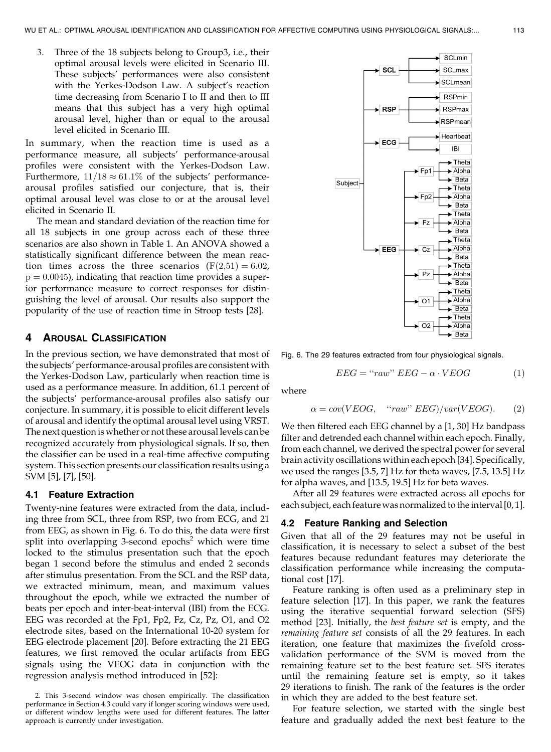3. Three of the 18 subjects belong to Group3, i.e., their optimal arousal levels were elicited in Scenario III. These subjects' performances were also consistent with the Yerkes-Dodson Law. A subject's reaction time decreasing from Scenario I to II and then to III means that this subject has a very high optimal arousal level, higher than or equal to the arousal level elicited in Scenario III.

In summary, when the reaction time is used as a performance measure, all subjects' performance-arousal profiles were consistent with the Yerkes-Dodson Law. Furthermore,  $11/18 \approx 61.1\%$  of the subjects' performancearousal profiles satisfied our conjecture, that is, their optimal arousal level was close to or at the arousal level elicited in Scenario II.

The mean and standard deviation of the reaction time for all 18 subjects in one group across each of these three scenarios are also shown in Table 1. An ANOVA showed a statistically significant difference between the mean reaction times across the three scenarios  $(F(2,51) = 6.02)$ ,  $p = 0.0045$ ), indicating that reaction time provides a superior performance measure to correct responses for distinguishing the level of arousal. Our results also support the popularity of the use of reaction time in Stroop tests [28].

#### 4 AROUSAL CLASSIFICATION

In the previous section, we have demonstrated that most of the subjects' performance-arousal profiles are consistent with the Yerkes-Dodson Law, particularly when reaction time is used as a performance measure. In addition, 61.1 percent of the subjects' performance-arousal profiles also satisfy our conjecture. In summary, it is possible to elicit different levels of arousal and identify the optimal arousal level using VRST. The next question is whether or not these arousal levels can be recognized accurately from physiological signals. If so, then the classifier can be used in a real-time affective computing system. This section presents our classification results using a SVM [5], [7], [50].

#### 4.1 Feature Extraction

Twenty-nine features were extracted from the data, including three from SCL, three from RSP, two from ECG, and 21 from EEG, as shown in Fig. 6. To do this, the data were first split into overlapping 3-second epochs<sup>2</sup> which were time locked to the stimulus presentation such that the epoch began 1 second before the stimulus and ended 2 seconds after stimulus presentation. From the SCL and the RSP data, we extracted minimum, mean, and maximum values throughout the epoch, while we extracted the number of beats per epoch and inter-beat-interval (IBI) from the ECG. EEG was recorded at the Fp1, Fp2, Fz, Cz, Pz, O1, and O2 electrode sites, based on the International 10-20 system for EEG electrode placement [20]. Before extracting the 21 EEG features, we first removed the ocular artifacts from EEG signals using the VEOG data in conjunction with the regression analysis method introduced in [52]:



Fig. 6. The 29 features extracted from four physiological signals.

$$
EEG = "raw" EEG - \alpha \cdot VEOG \tag{1}
$$

where

$$
\alpha = cov(VEOG, \quad "raw" EEG)/var(VEOG). \tag{2}
$$

We then filtered each EEG channel by a [1, 30] Hz bandpass filter and detrended each channel within each epoch. Finally, from each channel, we derived the spectral power for several brain activity oscillations within each epoch [34]. Specifically, we used the ranges [3.5, 7] Hz for theta waves, [7.5, 13.5] Hz for alpha waves, and [13.5, 19.5] Hz for beta waves.

After all 29 features were extracted across all epochs for each subject, each feature was normalized to the interval [0, 1].

#### 4.2 Feature Ranking and Selection

Given that all of the 29 features may not be useful in classification, it is necessary to select a subset of the best features because redundant features may deteriorate the classification performance while increasing the computational cost [17].

Feature ranking is often used as a preliminary step in feature selection [17]. In this paper, we rank the features using the iterative sequential forward selection (SFS) method [23]. Initially, the best feature set is empty, and the remaining feature set consists of all the 29 features. In each iteration, one feature that maximizes the fivefold crossvalidation performance of the SVM is moved from the remaining feature set to the best feature set. SFS iterates until the remaining feature set is empty, so it takes 29 iterations to finish. The rank of the features is the order in which they are added to the best feature set.

For feature selection, we started with the single best feature and gradually added the next best feature to the

<sup>2.</sup> This 3-second window was chosen empirically. The classification performance in Section 4.3 could vary if longer scoring windows were used, or different window lengths were used for different features. The latter approach is currently under investigation.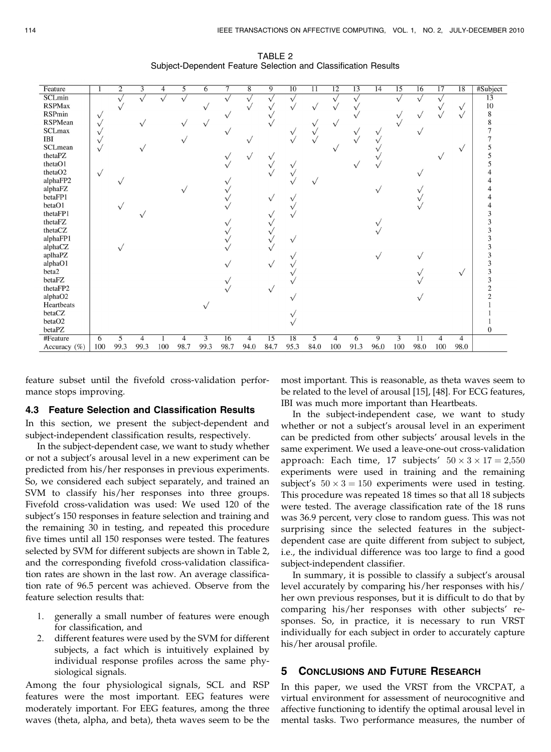| Feature                  |              | $\overline{2}$ | 3              | 4   | 5    | 6   | 7    | 8    | 9   | 10         | 11   | 12  | 13         | 14   | 15  | 16   | 17         | 18             | #Subject         |
|--------------------------|--------------|----------------|----------------|-----|------|-----|------|------|-----|------------|------|-----|------------|------|-----|------|------------|----------------|------------------|
| SCLmin                   |              |                |                |     |      |     |      |      |     | $\sqrt{ }$ |      |     | $\sqrt{ }$ |      |     |      | $\sqrt{2}$ |                | 13               |
| <b>RSPMax</b>            |              |                |                |     |      |     |      |      |     |            |      |     |            |      |     |      |            |                | 10               |
| RSPmin                   | $\sqrt{ }$   |                |                |     |      |     |      |      |     |            |      |     |            |      |     |      |            |                | 8                |
| RSPMean                  | $\sqrt{ }$   |                |                |     |      |     |      |      |     |            |      |     |            |      |     |      |            |                | 8                |
| <b>SCLmax</b>            |              |                |                |     |      |     |      |      |     |            |      |     |            |      |     |      |            |                |                  |
| IBI                      | $\mathbf v$  |                |                |     |      |     |      |      |     |            |      |     |            |      |     |      |            |                |                  |
| SCLmean                  | $\sqrt{ }$   |                |                |     |      |     |      |      |     |            |      |     |            |      |     |      |            | $\sqrt{}$      |                  |
| thetaPZ                  |              |                |                |     |      |     |      |      |     |            |      |     |            |      |     |      |            |                |                  |
| thetaO1                  |              |                |                |     |      |     |      |      |     |            |      |     |            |      |     |      |            |                | 5                |
| thetaO <sub>2</sub>      | $\mathbf{v}$ |                |                |     |      |     |      |      |     |            |      |     |            |      |     |      |            |                |                  |
| alphaFP2                 |              |                |                |     |      |     |      |      |     |            |      |     |            |      |     |      |            |                |                  |
| alphaFZ                  |              |                |                |     |      |     |      |      |     |            |      |     |            |      |     |      |            |                |                  |
| betaFP1                  |              |                |                |     |      |     |      |      |     |            |      |     |            |      |     |      |            |                |                  |
| betaO1                   |              |                |                |     |      |     |      |      |     |            |      |     |            |      |     |      |            |                |                  |
| thetaFP1                 |              |                |                |     |      |     |      |      |     |            |      |     |            |      |     |      |            |                | 3                |
| thetaFZ                  |              |                |                |     |      |     |      |      |     |            |      |     |            |      |     |      |            |                | 3                |
| thetaCZ                  |              |                |                |     |      |     |      |      |     |            |      |     |            |      |     |      |            |                | 3                |
| alphaFP1                 |              |                |                |     |      |     |      |      |     |            |      |     |            |      |     |      |            |                | 3                |
| alphaCZ                  |              |                |                |     |      |     |      |      |     |            |      |     |            |      |     |      |            |                |                  |
| aplhaPZ                  |              |                |                |     |      |     |      |      |     |            |      |     |            |      |     |      |            |                | 3                |
| alphaO1                  |              |                |                |     |      |     |      |      |     |            |      |     |            |      |     |      |            |                | 3                |
| beta2                    |              |                |                |     |      |     |      |      |     |            |      |     |            |      |     |      |            | $\sqrt{}$      | 3                |
| betaFZ                   |              |                |                |     |      |     |      |      |     |            |      |     |            |      |     |      |            |                | 3                |
| thetaFP2                 |              |                |                |     |      |     |      |      |     |            |      |     |            |      |     |      |            |                | $\mathfrak{D}$   |
| alphaO2                  |              |                |                |     |      |     |      |      |     |            |      |     |            |      |     |      |            |                |                  |
| Heartbeats               |              |                |                |     |      |     |      |      |     |            |      |     |            |      |     |      |            |                |                  |
| betaCZ                   |              |                |                |     |      |     |      |      |     |            |      |     |            |      |     |      |            |                |                  |
| betaO2                   |              |                |                |     |      |     |      |      |     |            |      |     |            |      |     |      |            |                |                  |
| betaPZ                   |              |                |                |     |      |     |      |      |     |            |      |     |            |      |     |      |            |                | $\boldsymbol{0}$ |
| #Feature                 | 6            | 5              | $\overline{4}$ |     | 4    | 3   | 16   | 4    | 15  | 18         | 5    | 4   | 6          | 9    | 3   | 11   | 4          | $\overline{4}$ |                  |
| $\Delta$ ceuracy $(\% )$ | 100          | 993            | 993            | 100 | 98.7 | 993 | 98.7 | 94.0 | 847 | 953        | 84.0 | 100 | 913        | 96.0 | 100 | 98.0 | 100        | 98.0           |                  |

TABLE 2 Subject-Dependent Feature Selection and Classification Results

feature subset until the fivefold cross-validation performance stops improving.

#### 4.3 Feature Selection and Classification Results

In this section, we present the subject-dependent and subject-independent classification results, respectively.

In the subject-dependent case, we want to study whether or not a subject's arousal level in a new experiment can be predicted from his/her responses in previous experiments. So, we considered each subject separately, and trained an SVM to classify his/her responses into three groups. Fivefold cross-validation was used: We used 120 of the subject's 150 responses in feature selection and training and the remaining 30 in testing, and repeated this procedure five times until all 150 responses were tested. The features selected by SVM for different subjects are shown in Table 2, and the corresponding fivefold cross-validation classification rates are shown in the last row. An average classification rate of 96.5 percent was achieved. Observe from the feature selection results that:

- 1. generally a small number of features were enough for classification, and
- 2. different features were used by the SVM for different subjects, a fact which is intuitively explained by individual response profiles across the same physiological signals.

Among the four physiological signals, SCL and RSP features were the most important. EEG features were moderately important. For EEG features, among the three waves (theta, alpha, and beta), theta waves seem to be the most important. This is reasonable, as theta waves seem to be related to the level of arousal [15], [48]. For ECG features, IBI was much more important than Heartbeats.

In the subject-independent case, we want to study whether or not a subject's arousal level in an experiment can be predicted from other subjects' arousal levels in the same experiment. We used a leave-one-out cross-validation approach: Each time, 17 subjects'  $50 \times 3 \times 17 = 2,550$ experiments were used in training and the remaining subject's  $50 \times 3 = 150$  experiments were used in testing. This procedure was repeated 18 times so that all 18 subjects were tested. The average classification rate of the 18 runs was 36.9 percent, very close to random guess. This was not surprising since the selected features in the subjectdependent case are quite different from subject to subject, i.e., the individual difference was too large to find a good subject-independent classifier.

In summary, it is possible to classify a subject's arousal level accurately by comparing his/her responses with his/ her own previous responses, but it is difficult to do that by comparing his/her responses with other subjects' responses. So, in practice, it is necessary to run VRST individually for each subject in order to accurately capture his/her arousal profile.

## 5 CONCLUSIONS AND FUTURE RESEARCH

In this paper, we used the VRST from the VRCPAT, a virtual environment for assessment of neurocognitive and affective functioning to identify the optimal arousal level in mental tasks. Two performance measures, the number of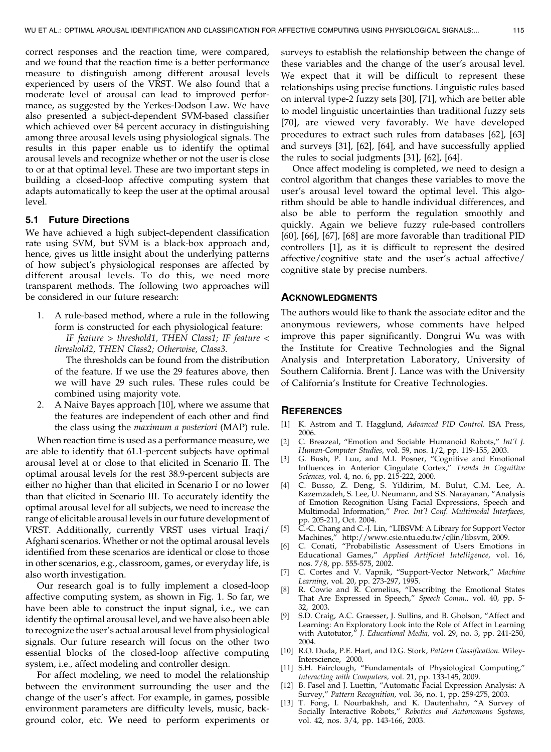correct responses and the reaction time, were compared, and we found that the reaction time is a better performance measure to distinguish among different arousal levels experienced by users of the VRST. We also found that a moderate level of arousal can lead to improved performance, as suggested by the Yerkes-Dodson Law. We have also presented a subject-dependent SVM-based classifier which achieved over 84 percent accuracy in distinguishing among three arousal levels using physiological signals. The results in this paper enable us to identify the optimal arousal levels and recognize whether or not the user is close to or at that optimal level. These are two important steps in building a closed-loop affective computing system that adapts automatically to keep the user at the optimal arousal level.

## 5.1 Future Directions

We have achieved a high subject-dependent classification rate using SVM, but SVM is a black-box approach and, hence, gives us little insight about the underlying patterns of how subject's physiological responses are affected by different arousal levels. To do this, we need more transparent methods. The following two approaches will be considered in our future research:

1. A rule-based method, where a rule in the following form is constructed for each physiological feature: IF feature > threshold1, THEN Class1; IF feature < threshold2, THEN Class2; Otherwise, Class3.

The thresholds can be found from the distribution of the feature. If we use the 29 features above, then we will have 29 such rules. These rules could be combined using majority vote.

2. A Naive Bayes approach [10], where we assume that the features are independent of each other and find the class using the maximum a posteriori (MAP) rule.

When reaction time is used as a performance measure, we are able to identify that 61.1-percent subjects have optimal arousal level at or close to that elicited in Scenario II. The optimal arousal levels for the rest 38.9-percent subjects are either no higher than that elicited in Scenario I or no lower than that elicited in Scenario III. To accurately identify the optimal arousal level for all subjects, we need to increase the range of elicitable arousal levels in our future development of VRST. Additionally, currently VRST uses virtual Iraqi/ Afghani scenarios. Whether or not the optimal arousal levels identified from these scenarios are identical or close to those in other scenarios, e.g., classroom, games, or everyday life, is also worth investigation.

Our research goal is to fully implement a closed-loop affective computing system, as shown in Fig. 1. So far, we have been able to construct the input signal, i.e., we can identify the optimal arousal level, and we have also been able to recognize the user's actual arousal level from physiological signals. Our future research will focus on the other two essential blocks of the closed-loop affective computing system, i.e., affect modeling and controller design.

For affect modeling, we need to model the relationship between the environment surrounding the user and the change of the user's affect. For example, in games, possible environment parameters are difficulty levels, music, background color, etc. We need to perform experiments or

surveys to establish the relationship between the change of these variables and the change of the user's arousal level. We expect that it will be difficult to represent these relationships using precise functions. Linguistic rules based on interval type-2 fuzzy sets [30], [71], which are better able to model linguistic uncertainties than traditional fuzzy sets [70], are viewed very favorably. We have developed procedures to extract such rules from databases [62], [63] and surveys [31], [62], [64], and have successfully applied the rules to social judgments [31], [62], [64].

Once affect modeling is completed, we need to design a control algorithm that changes these variables to move the user's arousal level toward the optimal level. This algorithm should be able to handle individual differences, and also be able to perform the regulation smoothly and quickly. Again we believe fuzzy rule-based controllers [60], [66], [67], [68] are more favorable than traditional PID controllers [1], as it is difficult to represent the desired affective/cognitive state and the user's actual affective/ cognitive state by precise numbers.

#### **ACKNOWLEDGMENTS**

The authors would like to thank the associate editor and the anonymous reviewers, whose comments have helped improve this paper significantly. Dongrui Wu was with the Institute for Creative Technologies and the Signal Analysis and Interpretation Laboratory, University of Southern California. Brent J. Lance was with the University of California's Institute for Creative Technologies.

#### **REFERENCES**

- [1] K. Astrom and T. Hagglund, Advanced PID Control. ISA Press, 2006.
- [2] C. Breazeal, "Emotion and Sociable Humanoid Robots," Int'l J. Human-Computer Studies, vol. 59, nos. 1/2, pp. 119-155, 2003.
- [3] G. Bush, P. Luu, and M.I. Posner, "Cognitive and Emotional Influences in Anterior Cingulate Cortex," Trends in Cognitive Sciences, vol. 4, no. 6, pp. 215-222, 2000.
- [4] C. Busso, Z. Deng, S. Yildirim, M. Bulut, C.M. Lee, A. Kazemzadeh, S. Lee, U. Neumann, and S.S. Narayanan, "Analysis of Emotion Recognition Using Facial Expressions, Speech and Multimodal Information," Proc. Int'l Conf. Multimodal Interfaces, pp. 205-211, Oct. 2004.
- [5] C.-C. Chang and C.-J. Lin, "LIBSVM: A Library for Support Vector Machines," http://www.csie.ntu.edu.tw/cjlin/libsvm, 2009.
- [6] C. Conati, "Probabilistic Assessment of Users Emotions in Educational Games," Applied Artificial Intelligence, vol. 16, nos. 7/8, pp. 555-575, 2002.
- [7] C. Cortes and V. Vapnik, "Support-Vector Network," Machine Learning, vol. 20, pp. 273-297, 1995.
- [8] R. Cowie and R. Cornelius, "Describing the Emotional States That Are Expressed in Speech," Speech Comm., vol. 40, pp. 5-32, 2003.
- [9] S.D. Craig, A.C. Graesser, J. Sullins, and B. Gholson, "Affect and Learning: An Exploratory Look into the Role of Affect in Learning with Autotutor," J. Educational Media, vol. 29, no. 3, pp. 241-250, 2004.
- [10] R.O. Duda, P.E. Hart, and D.G. Stork, Pattern Classification. Wiley-Interscience, 2000.
- [11] S.H. Fairclough, "Fundamentals of Physiological Computing," Interacting with Computers, vol. 21, pp. 133-145, 2009.
- [12] B. Fasel and J. Luettin, "Automatic Facial Expression Analysis: A Survey," Pattern Recognition, vol. 36, no. 1, pp. 259-275, 2003.
- [13] T. Fong, I. Nourbakhsh, and K. Dautenhahn, "A Survey of Socially Interactive Robots," Robotics and Autonomous Systems, vol. 42, nos. 3/4, pp. 143-166, 2003.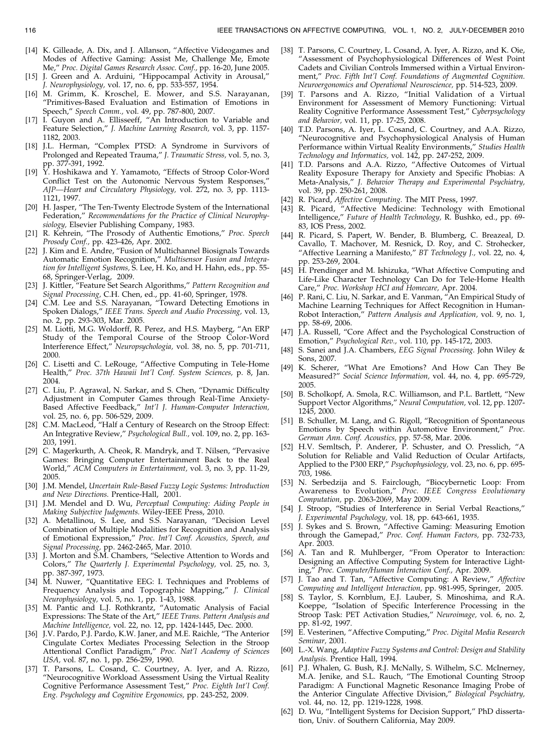- [14] K. Gilleade, A. Dix, and J. Allanson, "Affective Videogames and Modes of Affective Gaming: Assist Me, Challenge Me, Emote Me," Proc. Digital Games Research Assoc. Conf., pp. 16-20, June 2005.
- [15] J. Green and A. Arduini, "Hippocampal Activity in Arousal," J. Neurophysiology, vol. 17, no. 6, pp. 533-557, 1954.
- [16] M. Grimm, K. Kroschel, E. Mower, and S.S. Narayanan, "Primitives-Based Evaluation and Estimation of Emotions in Speech," Speech Comm., vol. 49, pp. 787-800, 2007.
- [17] I. Guyon and A. Ellisseeff, "An Introduction to Variable and Feature Selection," J. Machine Learning Research, vol. 3, pp. 1157- 1182, 2003.
- [18] J.L. Herman, "Complex PTSD: A Syndrome in Survivors of Prolonged and Repeated Trauma," J. Traumatic Stress, vol. 5, no. 3, pp. 377-391, 1992.
- [19] Y. Hoshikawa and Y. Yamamoto, "Effects of Stroop Color-Word Conflict Test on the Autonomic Nervous System Responses," AJP—Heart and Circulatory Physiology, vol. 272, no. 3, pp. 1113- 1121, 1997.
- [20] H. Jasper, "The Ten-Twenty Electrode System of the International Federation," Recommendations for the Practice of Clinical Neurophysiology, Elsevier Publishing Company, 1983.
- [21] R. Kehrein, "The Prosody of Authentic Emotions," Proc. Speech Prosody Conf., pp. 423-426, Apr. 2002.
- [22] J. Kim and E. Andre, "Fusion of Multichannel Biosignals Towards Automatic Emotion Recognition," Multisensor Fusion and Integration for Intelligent Systems, S. Lee, H. Ko, and H. Hahn, eds., pp. 55- 68, Springer-Verlag, 2009.
- [23] J. Kittler, "Feature Set Search Algorithms," Pattern Recognition and Signal Processing, C.H. Chen, ed., pp. 41-60, Springer, 1978.
- [24] C.M. Lee and S.S. Narayanan, "Toward Detecting Emotions in Spoken Dialogs," IEEE Trans. Speech and Audio Processing, vol. 13, no. 2, pp. 293-303, Mar. 2005.
- [25] M. Liotti, M.G. Woldorff, R. Perez, and H.S. Mayberg, "An ERP Study of the Temporal Course of the Stroop Color-Word Interference Effect," Neuropsychologia, vol. 38, no. 5, pp. 701-711, 2000.
- [26] C. Lisetti and C. LeRouge, "Affective Computing in Tele-Home Health," Proc. 37th Hawaii Int'l Conf. System Sciences, p. 8, Jan. 2004.
- [27] C. Liu, P. Agrawal, N. Sarkar, and S. Chen, "Dynamic Difficulty Adjustment in Computer Games through Real-Time Anxiety-Based Affective Feedback," Int'l J. Human-Computer Interaction, vol. 25, no. 6, pp. 506-529, 2009.
- [28] C.M. MacLeod, "Half a Century of Research on the Stroop Effect: An Integrative Review," Psychological Bull., vol. 109, no. 2, pp. 163- 203, 1991.
- [29] C. Magerkurth, A. Cheok, R. Mandryk, and T. Nilsen, "Pervasive Games: Bringing Computer Entertainment Back to the Real World," ACM Computers in Entertainment, vol. 3, no. 3, pp. 11-29, 2005.
- [30] J.M. Mendel, Uncertain Rule-Based Fuzzy Logic Systems: Introduction and New Directions. Prentice-Hall, 2001.
- [31] J.M. Mendel and D. Wu, Perceptual Computing: Aiding People in Making Subjective Judgments. Wiley-IEEE Press, 2010.
- [32] A. Metallinou, S. Lee, and S.S. Narayanan, "Decision Level Combination of Multiple Modalities for Recognition and Analysis of Emotional Expression," Proc. Int'l Conf. Acoustics, Speech, and Signal Processing, pp. 2462-2465, Mar. 2010.
- [33] J. Morton and S.M. Chambers, "Selective Attention to Words and Colors," The Quarterly J. Experimental Psychology, vol. 25, no. 3, pp. 387-397, 1973.
- [34] M. Nuwer, "Quantitative EEG: I. Techniques and Problems of Frequency Analysis and Topographic Mapping," J. Clinical Neurophysiology, vol. 5, no. 1, pp. 1-43, 1988.
- [35] M. Pantic and L.J. Rothkrantz, "Automatic Analysis of Facial Expressions: The State of the Art," IEEE Trans. Pattern Analysis and Machine Intelligence, vol. 22, no. 12, pp. 1424-1445, Dec. 2000.
- [36] J.V. Pardo, P.J. Pardo, K.W. Janer, and M.E. Raichle, "The Anterior Cingulate Cortex Mediates Processing Selection in the Stroop Attentional Conflict Paradigm," Proc. Nat'l Academy of Sciences USA, vol. 87, no. 1, pp. 256-259, 1990.
- [37] T. Parsons, L. Cosand, C. Courtney, A. Iyer, and A. Rizzo, "Neurocognitive Workload Assessment Using the Virtual Reality Cognitive Performance Assessment Test," Proc. Eighth Int'l Conf. Eng. Psychology and Cognitive Ergonomics, pp. 243-252, 2009.
- [38] T. Parsons, C. Courtney, L. Cosand, A. Iyer, A. Rizzo, and K. Oie, "Assessment of Psychophysiological Differences of West Point Cadets and Civilian Controls Immersed within a Virtual Environment," Proc. Fifth Int'l Conf. Foundations of Augmented Cognition. Neuroergonomics and Operational Neuroscience, pp. 514-523, 2009.
- [39] T. Parsons and A. Rizzo, "Initial Validation of a Virtual Environment for Assessment of Memory Functioning: Virtual Reality Cognitive Performance Assessment Test," Cyberpsychology and Behavior, vol. 11, pp. 17-25, 2008.
- [40] T.D. Parsons, A. Iyer, L. Cosand, C. Courtney, and A.A. Rizzo, "Neurocognitive and Psychophysiological Analysis of Human Performance within Virtual Reality Environments," Studies Health Technology and Informatics, vol. 142, pp. 247-252, 2009.
- [41] T.D. Parsons and A.A. Rizzo, "Affective Outcomes of Virtual Reality Exposure Therapy for Anxiety and Specific Phobias: A Meta-Analysis," J. Behavior Therapy and Experimental Psychiatry, vol. 39, pp. 250-261, 2008.
- [42] R. Picard, Affective Computing. The MIT Press, 1997.
- [43] R. Picard, "Affective Medicine: Technology with Emotional Intelligence," Future of Health Technology, R. Bushko, ed., pp. 69- 83, IOS Press, 2002.
- [44] R. Picard, S. Papert, W. Bender, B. Blumberg, C. Breazeal, D. Cavallo, T. Machover, M. Resnick, D. Roy, and C. Strohecker, "Affective Learning a Manifesto," BT Technology J., vol. 22, no. 4, pp. 253-269, 2004.
- [45] H. Prendinger and M. Ishizuka, "What Affective Computing and Life-Like Character Technology Can Do for Tele-Home Health Care," Proc. Workshop HCI and Homecare, Apr. 2004.
- [46] P. Rani, C. Liu, N. Sarkar, and E. Vanman, "An Empirical Study of Machine Learning Techniques for Affect Recognition in Human-Robot Interaction," Pattern Analysis and Application, vol. 9, no. 1, pp. 58-69, 2006.
- [47] J.A. Russell, "Core Affect and the Psychological Construction of Emotion," Psychological Rev., vol. 110, pp. 145-172, 2003.
- [48] S. Sanei and J.A. Chambers, EEG Signal Processing. John Wiley & Sons, 2007.
- [49] K. Scherer, "What Are Emotions? And How Can They Be Measured?" Social Science Information, vol. 44, no. 4, pp. 695-729, 2005.
- [50] B. Scholkopf, A. Smola, R.C. Williamson, and P.L. Bartlett, "New Support Vector Algorithms," Neural Computation, vol. 12, pp. 1207- 1245, 2000.
- [51] B. Schuller, M. Lang, and G. Rigoll, "Recognition of Spontaneous Emotions by Speech within Automotive Environment," Proc. German Ann. Conf. Acoustics, pp. 57-58, Mar. 2006.
- [52] H.V. Semltsch, P. Anderer, P. Schuster, and O. Presslich, "A Solution for Reliable and Valid Reduction of Ocular Artifacts, Applied to the P300 ERP," Psychophysiology, vol. 23, no. 6, pp. 695- 703, 1986.
- [53] N. Serbedzija and S. Fairclough, "Biocybernetic Loop: From Awareness to Evolution," Proc. IEEE Congress Evolutionary Computation, pp. 2063-2069, May 2009.
- [54] J. Stroop, "Studies of Interference in Serial Verbal Reactions," J. Experimental Psychology, vol. 18, pp. 643-661, 1935.
- [55] J. Sykes and S. Brown, "Affective Gaming: Measuring Emotion through the Gamepad," Proc. Conf. Human Factors, pp. 732-733, Apr. 2003.
- [56] A. Tan and R. Muhlberger, "From Operator to Interaction: Designing an Affective Computing System for Interactive Lighting," Proc. Computer/Human Interaction Conf., Apr. 2009.
- [57] J. Tao and T. Tan, "Affective Computing: A Review," Affective Computing and Intelligent Interaction, pp. 981-995, Springer, 2005.
- [58] S. Taylor, S. Kornblum, E.J. Lauber, S. Minoshima, and R.A. Koeppe, "Isolation of Specific Interference Processing in the Stroop Task: PET Activation Studies," Neuroimage, vol. 6, no. 2, pp. 81-92, 1997.
- [59] E. Vesterinen, "Affective Computing," Proc. Digital Media Research Seminar, 2001.
- [60] L.-X. Wang, Adaptive Fuzzy Systems and Control: Design and Stability Analysis. Prentice Hall, 1994.
- [61] P.J. Whalen, G. Bush, R.J. McNally, S. Wilhelm, S.C. McInerney, M.A. Jenike, and S.L. Rauch, "The Emotional Counting Stroop Paradigm: A Functional Magnetic Resonance Imaging Probe of the Anterior Cingulate Affective Division," Biological Psychiatry, vol. 44, no. 12, pp. 1219-1228, 1998.
- [62] D. Wu, "Intelligent Systems for Decision Support," PhD dissertation, Univ. of Southern California, May 2009.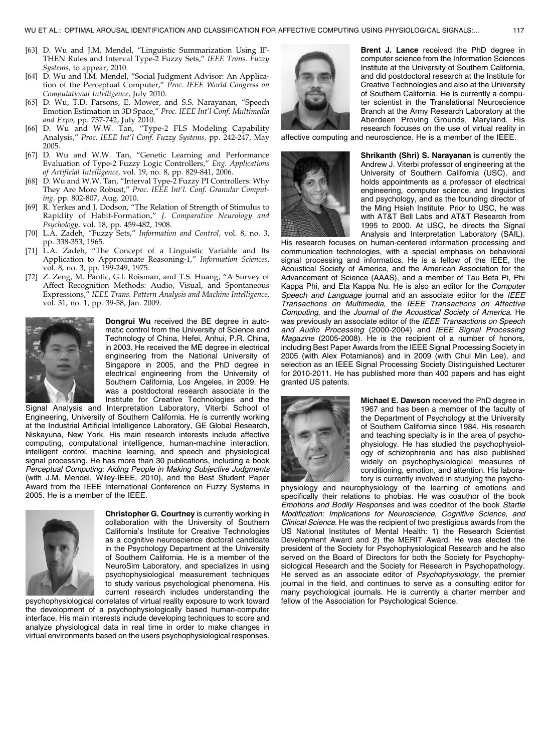- [63] D. Wu and J.M. Mendel, "Linguistic Summarization Using IF-THEN Rules and Interval Type-2 Fuzzy Sets," IEEE Trans. Fuzzy Systems, to appear, 2010.
- [64] D. Wu and J.M. Mendel, "Social Judgment Advisor: An Application of the Perceptual Computer," Proc. IEEE World Congress on Computational Intelligence, July 2010.
- [65] D. Wu, T.D. Parsons, E. Mower, and S.S. Narayanan, "Speech Emotion Estimation in 3D Space," Proc. IEEE Int'l Conf. Multimedia and Expo, pp. 737-742, July 2010.
- [66] D. Wu and W.W. Tan, "Type-2 FLS Modeling Capability Analysis," Proc. IEEE Int'l Conf. Fuzzy Systems, pp. 242-247, May 2005.
- [67] D. Wu and W.W. Tan, "Genetic Learning and Performance Evaluation of Type-2 Fuzzy Logic Controllers," Eng. Applications of Artificial Intelligence, vol. 19, no. 8, pp. 829-841, 2006.
- [68] D. Wu and W.W. Tan, "Interval Type-2 Fuzzy PI Controllers: Why They Are More Robust," Proc. IEEE Int'l. Conf. Granular Computing, pp. 802-807, Aug. 2010.
- [69] R. Yerkes and J. Dodson, "The Relation of Strength of Stimulus to Rapidity of Habit-Formation," J. Comparative Neurology and Psychology, vol. 18, pp. 459-482, 1908.
- [70] L.A. Zadeh, "Fuzzy Sets," Information and Control, vol. 8, no. 3, pp. 338-353, 1965.
- [71] L.A. Zadeh, "The Concept of a Linguistic Variable and Its Application to Approximate Reasoning-1," Information Sciences, vol. 8, no. 3, pp. 199-249, 1975.
- [72] Z. Zeng, M. Pantic, G.I. Roisman, and T.S. Huang, "A Survey of Affect Recognition Methods: Audio, Visual, and Spontaneous Expressions," IEEE Trans. Pattern Analysis and Machine Intelligence, vol. 31, no. 1, pp. 39-58, Jan. 2009.



Dongrui Wu received the BE degree in automatic control from the University of Science and Technology of China, Hefei, Anhui, P.R. China, in 2003. He received the ME degree in electrical engineering from the National University of Singapore in 2005, and the PhD degree in electrical engineering from the University of Southern California, Los Angeles, in 2009. He was a postdoctoral research associate in the Institute for Creative Technologies and the

Signal Analysis and Interpretation Laboratory, Viterbi School of Engineering, University of Southern California. He is currently working at the Industrial Artificial Intelligence Laboratory, GE Global Research, Niskayuna, New York. His main research interests include affective computing, computational intelligence, human-machine interaction, intelligent control, machine learning, and speech and physiological signal processing. He has more than 30 publications, including a book Perceptual Computing: Aiding People in Making Subjective Judgments (with J.M. Mendel, Wiley-IEEE, 2010), and the Best Student Paper Award from the IEEE International Conference on Fuzzy Systems in 2005. He is a member of the IEEE.



Christopher G. Courtney is currently working in collaboration with the University of Southern California's Institute for Creative Technologies as a cognitive neuroscience doctoral candidate in the Psychology Department at the University of Southern California. He is a member of the NeuroSim Laboratory, and specializes in using psychophysiological measurement techniques to study various psychological phenomena. His current research includes understanding the

psychophysiological correlates of virtual reality exposure to work toward the development of a psychophysiologically based human-computer interface. His main interests include developing techniques to score and analyze physiological data in real time in order to make changes in virtual environments based on the users psychophysiological responses.



Brent J. Lance received the PhD degree in computer science from the Information Sciences Institute at the University of Southern California, and did postdoctoral research at the Institute for Creative Technologies and also at the University of Southern California. He is currently a computer scientist in the Translational Neuroscience Branch at the Army Research Laboratory at the Aberdeen Proving Grounds, Maryland. His research focuses on the use of virtual reality in

affective computing and neuroscience. He is a member of the IEEE.



Shrikanth (Shri) S. Narayanan is currently the Andrew J. Viterbi professor of engineering at the University of Southern California (USC), and holds appointments as a professor of electrical engineering, computer science, and linguistics and psychology, and as the founding director of the Ming Hsieh Institute. Prior to USC, he was with AT&T Bell Labs and AT&T Research from 1995 to 2000. At USC, he directs the Signal Analysis and Interpretation Laboratory (SAIL).

His research focuses on human-centered information processing and communication technologies, with a special emphasis on behavioral signal processing and informatics. He is a fellow of the IEEE, the Acoustical Society of America, and the American Association for the Advancement of Science (AAAS), and a member of Tau Beta Pi, Phi Kappa Phi, and Eta Kappa Nu. He is also an editor for the Computer Speech and Language journal and an associate editor for the IEEE Transactions on Multimedia, the IEEE Transactions on Affective Computing, and the Journal of the Acoustical Society of America. He was previously an associate editor of the IEEE Transactions on Speech and Audio Processing (2000-2004) and IEEE Signal Processing Magazine (2005-2008). He is the recipient of a number of honors, including Best Paper Awards from the IEEE Signal Processing Society in 2005 (with Alex Potamianos) and in 2009 (with Chul Min Lee), and selection as an IEEE Signal Processing Society Distinguished Lecturer for 2010-2011. He has published more than 400 papers and has eight granted US patents.



Michael E. Dawson received the PhD degree in 1967 and has been a member of the faculty of the Department of Psychology at the University of Southern California since 1984. His research and teaching specialty is in the area of psychophysiology. He has studied the psychophysiology of schizophrenia and has also published widely on psychophysiological measures of conditioning, emotion, and attention. His laboratory is currently involved in studying the psycho-

physiology and neurophysiology of the learning of emotions and specifically their relations to phobias. He was coauthor of the book Emotions and Bodily Responses and was coeditor of the book Startle Modification: Implications for Neuroscience, Cognitive Science, and Clinical Science. He was the recipient of two prestigious awards from the US National Institutes of Mental Health: 1) the Research Scientist Development Award and 2) the MERIT Award. He was elected the president of the Society for Psychophysiological Research and he also served on the Board of Directors for both the Society for Psychophysiological Research and the Society for Research in Psychopathology. He served as an associate editor of Psychophysiology, the premier journal in the field, and continues to serve as a consulting editor for many psychological journals. He is currently a charter member and fellow of the Association for Psychological Science.